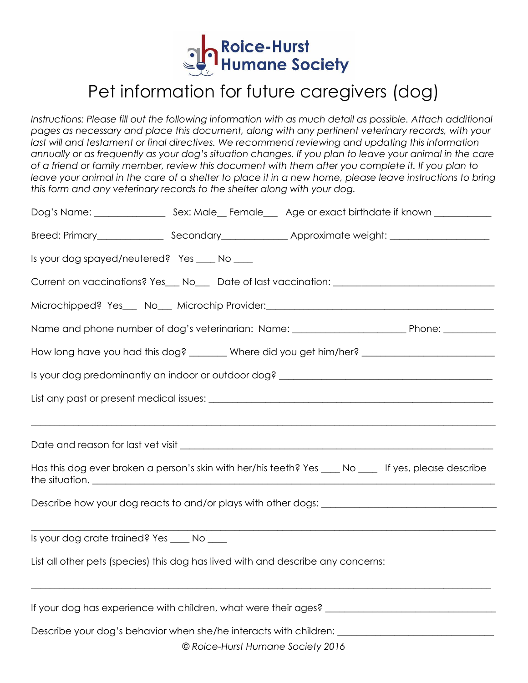

## Pet information for future caregivers (dog)

*Instructions: Please fill out the following information with as much detail as possible. Attach additional pages as necessary and place this document, along with any pertinent veterinary records, with your*  last will and testament or final directives. We recommend reviewing and updating this information *annually or as frequently as your dog's situation changes. If you plan to leave your animal in the care of a friend or family member, review this document with them after you complete it. If you plan to leave your animal in the care of a shelter to place it in a new home, please leave instructions to bring this form and any veterinary records to the shelter along with your dog.* 

| Is your dog spayed/neutered? Yes ____ No ____                                                        |                                                                                  |                                                                                                       |  |  |  |  |  |  |  |
|------------------------------------------------------------------------------------------------------|----------------------------------------------------------------------------------|-------------------------------------------------------------------------------------------------------|--|--|--|--|--|--|--|
| Current on vaccinations? Yes__ No__ Date of last vaccination: ___________________                    |                                                                                  |                                                                                                       |  |  |  |  |  |  |  |
|                                                                                                      |                                                                                  |                                                                                                       |  |  |  |  |  |  |  |
|                                                                                                      |                                                                                  |                                                                                                       |  |  |  |  |  |  |  |
| How long have you had this dog? _______ Where did you get him/her? _________________________________ |                                                                                  |                                                                                                       |  |  |  |  |  |  |  |
|                                                                                                      |                                                                                  |                                                                                                       |  |  |  |  |  |  |  |
|                                                                                                      |                                                                                  |                                                                                                       |  |  |  |  |  |  |  |
|                                                                                                      |                                                                                  |                                                                                                       |  |  |  |  |  |  |  |
|                                                                                                      |                                                                                  |                                                                                                       |  |  |  |  |  |  |  |
|                                                                                                      |                                                                                  | Has this dog ever broken a person's skin with her/his teeth? Yes ____ No ____ If yes, please describe |  |  |  |  |  |  |  |
|                                                                                                      |                                                                                  |                                                                                                       |  |  |  |  |  |  |  |
|                                                                                                      |                                                                                  |                                                                                                       |  |  |  |  |  |  |  |
| Is your dog crate trained? Yes ____ No ____                                                          |                                                                                  |                                                                                                       |  |  |  |  |  |  |  |
|                                                                                                      | List all other pets (species) this dog has lived with and describe any concerns: |                                                                                                       |  |  |  |  |  |  |  |
|                                                                                                      |                                                                                  |                                                                                                       |  |  |  |  |  |  |  |
|                                                                                                      |                                                                                  | Describe your dog's behavior when she/he interacts with children: _________________________________   |  |  |  |  |  |  |  |
|                                                                                                      | © Roice-Hurst Humane Society 2016                                                |                                                                                                       |  |  |  |  |  |  |  |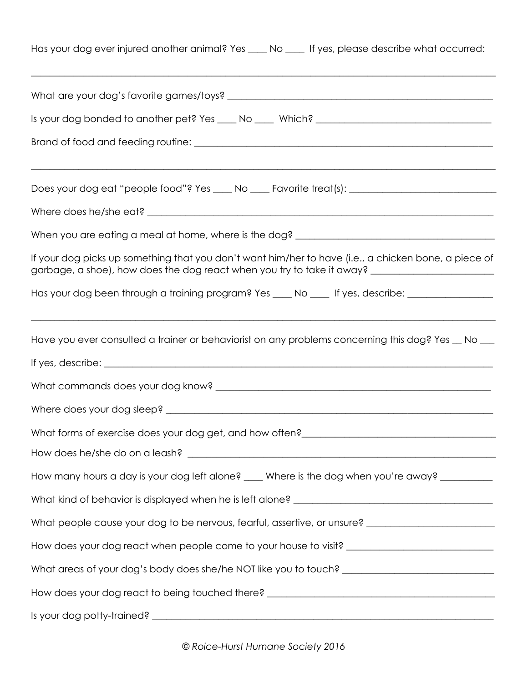| Has your dog ever injured another animal? Yes ____ No ____ If yes, please describe what occurred:                                                                                                           |
|-------------------------------------------------------------------------------------------------------------------------------------------------------------------------------------------------------------|
|                                                                                                                                                                                                             |
|                                                                                                                                                                                                             |
|                                                                                                                                                                                                             |
| Does your dog eat "people food"? Yes ____ No ____ Favorite treat(s): _______________________________                                                                                                        |
|                                                                                                                                                                                                             |
|                                                                                                                                                                                                             |
| If your dog picks up something that you don't want him/her to have (i.e., a chicken bone, a piece of<br>garbage, a shoe), how does the dog react when you try to take it away? ____________________________ |
| Has your dog been through a training program? Yes ____ No ____ If yes, describe: __________________                                                                                                         |
| Have you ever consulted a trainer or behaviorist on any problems concerning this dog? Yes _ No __                                                                                                           |
|                                                                                                                                                                                                             |
|                                                                                                                                                                                                             |
|                                                                                                                                                                                                             |
|                                                                                                                                                                                                             |
|                                                                                                                                                                                                             |
| How many hours a day is your dog left alone? ___ Where is the dog when you're away? ________                                                                                                                |
|                                                                                                                                                                                                             |
| What people cause your dog to be nervous, fearful, assertive, or unsure? ___________________________                                                                                                        |
| How does your dog react when people come to your house to visit? ___________________________________                                                                                                        |
|                                                                                                                                                                                                             |
| How does your dog react to being touched there? ________________________________                                                                                                                            |
| Is your dog potty-trained?<br><u> 1989 - Johann John Stone, Amerikaansk politiker (* 1989)</u>                                                                                                              |

*© Roice-Hurst Humane Society 2016*